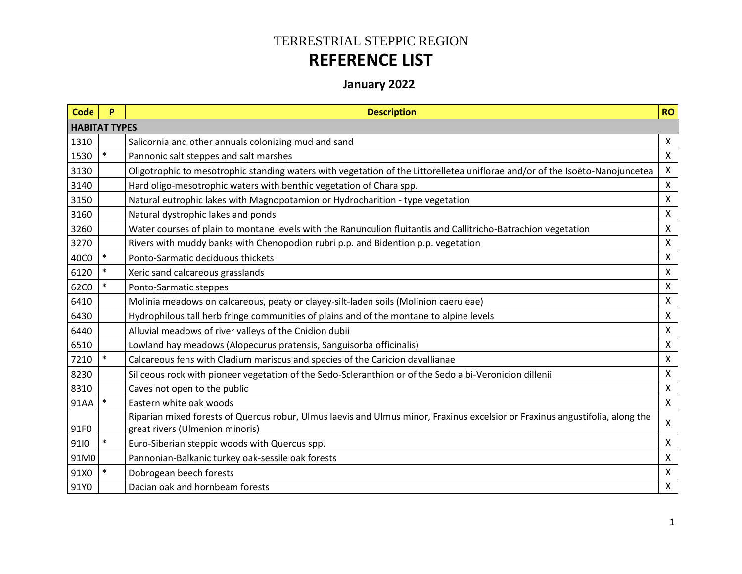## TERRESTRIAL STEPPIC REGION **REFERENCE LIST**

## **January 2022**

| <b>Code</b> | P                    | <b>Description</b>                                                                                                                                               | <b>RO</b>                 |  |  |  |  |  |
|-------------|----------------------|------------------------------------------------------------------------------------------------------------------------------------------------------------------|---------------------------|--|--|--|--|--|
|             | <b>HABITAT TYPES</b> |                                                                                                                                                                  |                           |  |  |  |  |  |
| 1310        |                      | Salicornia and other annuals colonizing mud and sand                                                                                                             | X                         |  |  |  |  |  |
| 1530        |                      | Pannonic salt steppes and salt marshes                                                                                                                           | $\mathsf{X}$              |  |  |  |  |  |
| 3130        |                      | Oligotrophic to mesotrophic standing waters with vegetation of the Littorelletea uniflorae and/or of the Isoëto-Nanojuncetea                                     | $\mathsf{X}$              |  |  |  |  |  |
| 3140        |                      | Hard oligo-mesotrophic waters with benthic vegetation of Chara spp.                                                                                              | $\mathsf{X}$              |  |  |  |  |  |
| 3150        |                      | Natural eutrophic lakes with Magnopotamion or Hydrocharition - type vegetation                                                                                   | X                         |  |  |  |  |  |
| 3160        |                      | Natural dystrophic lakes and ponds                                                                                                                               | X                         |  |  |  |  |  |
| 3260        |                      | Water courses of plain to montane levels with the Ranunculion fluitantis and Callitricho-Batrachion vegetation                                                   | $\boldsymbol{\mathsf{X}}$ |  |  |  |  |  |
| 3270        |                      | Rivers with muddy banks with Chenopodion rubri p.p. and Bidention p.p. vegetation                                                                                | X                         |  |  |  |  |  |
| 40C0        | $\ast$               | Ponto-Sarmatic deciduous thickets                                                                                                                                | $\mathsf{X}$              |  |  |  |  |  |
| 6120        | $\ast$               | Xeric sand calcareous grasslands                                                                                                                                 | X                         |  |  |  |  |  |
| 62C0        | $\ast$               | Ponto-Sarmatic steppes                                                                                                                                           | $\mathsf{X}$              |  |  |  |  |  |
| 6410        |                      | Molinia meadows on calcareous, peaty or clayey-silt-laden soils (Molinion caeruleae)                                                                             | X                         |  |  |  |  |  |
| 6430        |                      | Hydrophilous tall herb fringe communities of plains and of the montane to alpine levels                                                                          | $\mathsf{X}$              |  |  |  |  |  |
| 6440        |                      | Alluvial meadows of river valleys of the Cnidion dubii                                                                                                           | $\mathsf{X}$              |  |  |  |  |  |
| 6510        |                      | Lowland hay meadows (Alopecurus pratensis, Sanguisorba officinalis)                                                                                              | X                         |  |  |  |  |  |
| 7210        |                      | Calcareous fens with Cladium mariscus and species of the Caricion davallianae                                                                                    | $\mathsf{X}$              |  |  |  |  |  |
| 8230        |                      | Siliceous rock with pioneer vegetation of the Sedo-Scleranthion or of the Sedo albi-Veronicion dillenii                                                          | X                         |  |  |  |  |  |
| 8310        |                      | Caves not open to the public                                                                                                                                     | $\mathsf{X}$              |  |  |  |  |  |
| 91AA        | $\ast$               | Eastern white oak woods                                                                                                                                          | $\mathsf{X}$              |  |  |  |  |  |
| 91F0        |                      | Riparian mixed forests of Quercus robur, Ulmus laevis and Ulmus minor, Fraxinus excelsior or Fraxinus angustifolia, along the<br>great rivers (Ulmenion minoris) | $\mathsf{X}$              |  |  |  |  |  |
| 9110        |                      | Euro-Siberian steppic woods with Quercus spp.                                                                                                                    | X                         |  |  |  |  |  |
| 91M0        |                      | Pannonian-Balkanic turkey oak-sessile oak forests                                                                                                                | X                         |  |  |  |  |  |
| 91X0        | $\ast$               | Dobrogean beech forests                                                                                                                                          | $\mathsf{X}$              |  |  |  |  |  |
| 91Y0        |                      | Dacian oak and hornbeam forests                                                                                                                                  | X                         |  |  |  |  |  |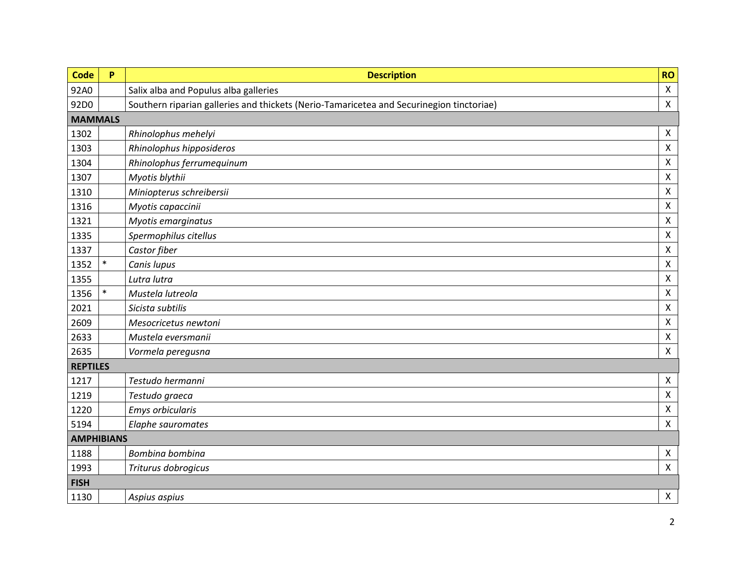| <b>Code</b>     | P                 | <b>Description</b>                                                                       | <b>RO</b>          |  |  |  |
|-----------------|-------------------|------------------------------------------------------------------------------------------|--------------------|--|--|--|
| 92A0            |                   | Salix alba and Populus alba galleries                                                    | $\pmb{\times}$     |  |  |  |
| 92D0            |                   | Southern riparian galleries and thickets (Nerio-Tamaricetea and Securinegion tinctoriae) | $\mathsf{X}$       |  |  |  |
| <b>MAMMALS</b>  |                   |                                                                                          |                    |  |  |  |
| 1302            |                   | Rhinolophus mehelyi                                                                      | X                  |  |  |  |
| 1303            |                   | Rhinolophus hipposideros                                                                 | $\pmb{\times}$     |  |  |  |
| 1304            |                   | Rhinolophus ferrumequinum                                                                | $\pmb{\times}$     |  |  |  |
| 1307            |                   | Myotis blythii                                                                           | $\pmb{\times}$     |  |  |  |
| 1310            |                   | Miniopterus schreibersii                                                                 | $\pmb{\mathsf{X}}$ |  |  |  |
| 1316            |                   | Myotis capaccinii                                                                        | Χ                  |  |  |  |
| 1321            |                   | Myotis emarginatus                                                                       | $\pmb{\mathsf{X}}$ |  |  |  |
| 1335            |                   | Spermophilus citellus                                                                    | $\mathsf X$        |  |  |  |
| 1337            |                   | Castor fiber                                                                             | $\pmb{\times}$     |  |  |  |
| 1352            | $\ast$            | Canis lupus                                                                              | $\pmb{\times}$     |  |  |  |
| 1355            |                   | Lutra lutra                                                                              | $\mathsf X$        |  |  |  |
| 1356            | $\ast$            | Mustela lutreola                                                                         | $\pmb{\times}$     |  |  |  |
| 2021            |                   | Sicista subtilis                                                                         | $\pmb{\mathsf{X}}$ |  |  |  |
| 2609            |                   | Mesocricetus newtoni                                                                     | $\pmb{\times}$     |  |  |  |
| 2633            |                   | Mustela eversmanii                                                                       | $\pmb{\times}$     |  |  |  |
| 2635            |                   | Vormela peregusna                                                                        | $\mathsf{X}$       |  |  |  |
| <b>REPTILES</b> |                   |                                                                                          |                    |  |  |  |
| 1217            |                   | Testudo hermanni                                                                         | $\pmb{\times}$     |  |  |  |
| 1219            |                   | Testudo graeca                                                                           | $\pmb{\mathsf{X}}$ |  |  |  |
| 1220            |                   | <b>Emys orbicularis</b>                                                                  | $\pmb{\mathsf{X}}$ |  |  |  |
| 5194            |                   | Elaphe sauromates                                                                        | $\pmb{\times}$     |  |  |  |
|                 | <b>AMPHIBIANS</b> |                                                                                          |                    |  |  |  |
| 1188            |                   | Bombina bombina                                                                          | X                  |  |  |  |
| 1993            |                   | Triturus dobrogicus                                                                      | $\mathsf{X}$       |  |  |  |
| <b>FISH</b>     |                   |                                                                                          |                    |  |  |  |
| 1130            |                   | Aspius aspius                                                                            | $\mathsf{X}$       |  |  |  |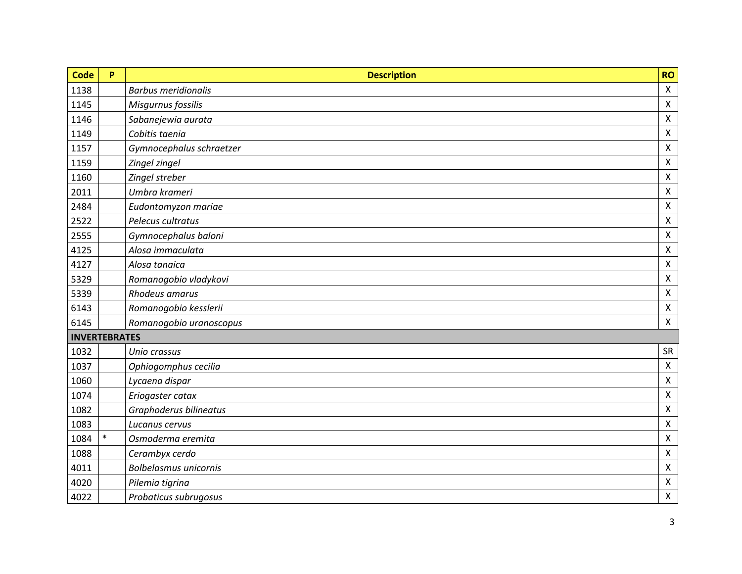| <b>Code</b>          | P      | <b>Description</b>           | <b>RO</b>                 |
|----------------------|--------|------------------------------|---------------------------|
| 1138                 |        | <b>Barbus meridionalis</b>   | $\pmb{\times}$            |
| 1145                 |        | Misgurnus fossilis           | $\pmb{\times}$            |
| 1146                 |        | Sabanejewia aurata           | $\pmb{\times}$            |
| 1149                 |        | Cobitis taenia               | $\pmb{\times}$            |
| 1157                 |        | Gymnocephalus schraetzer     | $\pmb{\times}$            |
| 1159                 |        | Zingel zingel                | $\pmb{\times}$            |
| 1160                 |        | Zingel streber               | $\pmb{\times}$            |
| 2011                 |        | Umbra krameri                | $\boldsymbol{\mathsf{X}}$ |
| 2484                 |        | Eudontomyzon mariae          | $\pmb{\times}$            |
| 2522                 |        | Pelecus cultratus            | $\pmb{\times}$            |
| 2555                 |        | Gymnocephalus baloni         | $\pmb{\times}$            |
| 4125                 |        | Alosa immaculata             | $\pmb{\times}$            |
| 4127                 |        | Alosa tanaica                | $\pmb{\times}$            |
| 5329                 |        | Romanogobio vladykovi        | $\pmb{\times}$            |
| 5339                 |        | Rhodeus amarus               | $\pmb{\times}$            |
| 6143                 |        | Romanogobio kesslerii        | $\pmb{\times}$            |
| 6145                 |        | Romanogobio uranoscopus      | $\mathsf{X}$              |
| <b>INVERTEBRATES</b> |        |                              |                           |
| 1032                 |        | Unio crassus                 | SR                        |
| 1037                 |        | Ophiogomphus cecilia         | $\pmb{\times}$            |
| 1060                 |        | Lycaena dispar               | $\pmb{\times}$            |
| 1074                 |        | Eriogaster catax             | $\pmb{\times}$            |
| 1082                 |        | Graphoderus bilineatus       | $\pmb{\times}$            |
| 1083                 |        | Lucanus cervus               | $\mathsf{X}$              |
| 1084                 | $\ast$ | Osmoderma eremita            | $\pmb{\times}$            |
| 1088                 |        | Cerambyx cerdo               | $\boldsymbol{\mathsf{X}}$ |
| 4011                 |        | <b>Bolbelasmus unicornis</b> | $\pmb{\times}$            |
| 4020                 |        | Pilemia tigrina              | $\pmb{\times}$            |
| 4022                 |        | Probaticus subrugosus        | $\pmb{\mathsf{X}}$        |